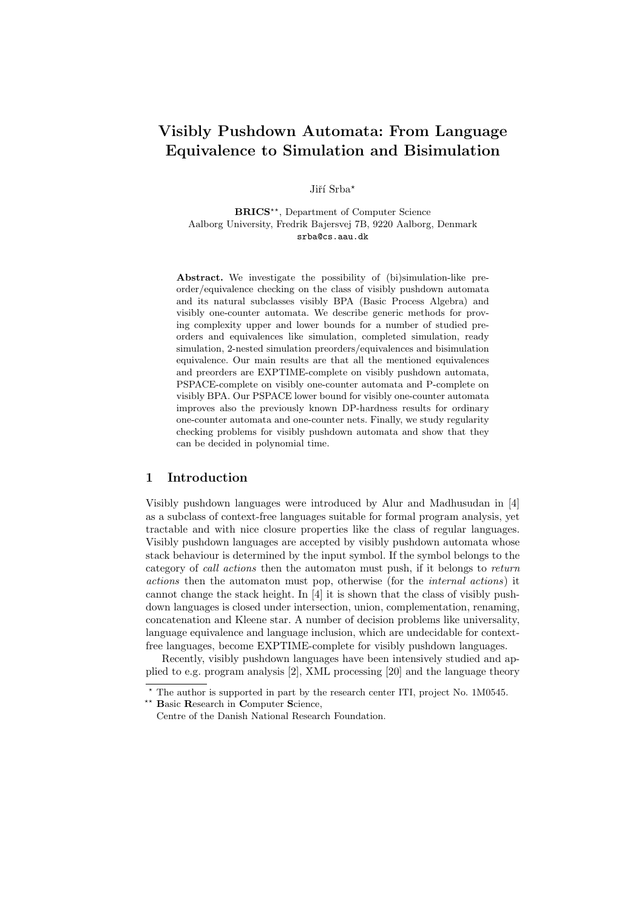# Visibly Pushdown Automata: From Language Equivalence to Simulation and Bisimulation

Jiří Srba\*

BRICS<sup>\*\*</sup>, Department of Computer Science Aalborg University, Fredrik Bajersvej 7B, 9220 Aalborg, Denmark srba@cs.aau.dk

Abstract. We investigate the possibility of (bi)simulation-like preorder/equivalence checking on the class of visibly pushdown automata and its natural subclasses visibly BPA (Basic Process Algebra) and visibly one-counter automata. We describe generic methods for proving complexity upper and lower bounds for a number of studied preorders and equivalences like simulation, completed simulation, ready simulation, 2-nested simulation preorders/equivalences and bisimulation equivalence. Our main results are that all the mentioned equivalences and preorders are EXPTIME-complete on visibly pushdown automata, PSPACE-complete on visibly one-counter automata and P-complete on visibly BPA. Our PSPACE lower bound for visibly one-counter automata improves also the previously known DP-hardness results for ordinary one-counter automata and one-counter nets. Finally, we study regularity checking problems for visibly pushdown automata and show that they can be decided in polynomial time.

#### 1 Introduction

Visibly pushdown languages were introduced by Alur and Madhusudan in [4] as a subclass of context-free languages suitable for formal program analysis, yet tractable and with nice closure properties like the class of regular languages. Visibly pushdown languages are accepted by visibly pushdown automata whose stack behaviour is determined by the input symbol. If the symbol belongs to the category of call actions then the automaton must push, if it belongs to return actions then the automaton must pop, otherwise (for the internal actions) it cannot change the stack height. In [4] it is shown that the class of visibly pushdown languages is closed under intersection, union, complementation, renaming, concatenation and Kleene star. A number of decision problems like universality, language equivalence and language inclusion, which are undecidable for contextfree languages, become EXPTIME-complete for visibly pushdown languages.

Recently, visibly pushdown languages have been intensively studied and applied to e.g. program analysis [2], XML processing [20] and the language theory

 $\star$  The author is supported in part by the research center ITI, project No. 1M0545.

<sup>\*\*</sup> Basic Research in Computer Science,

Centre of the Danish National Research Foundation.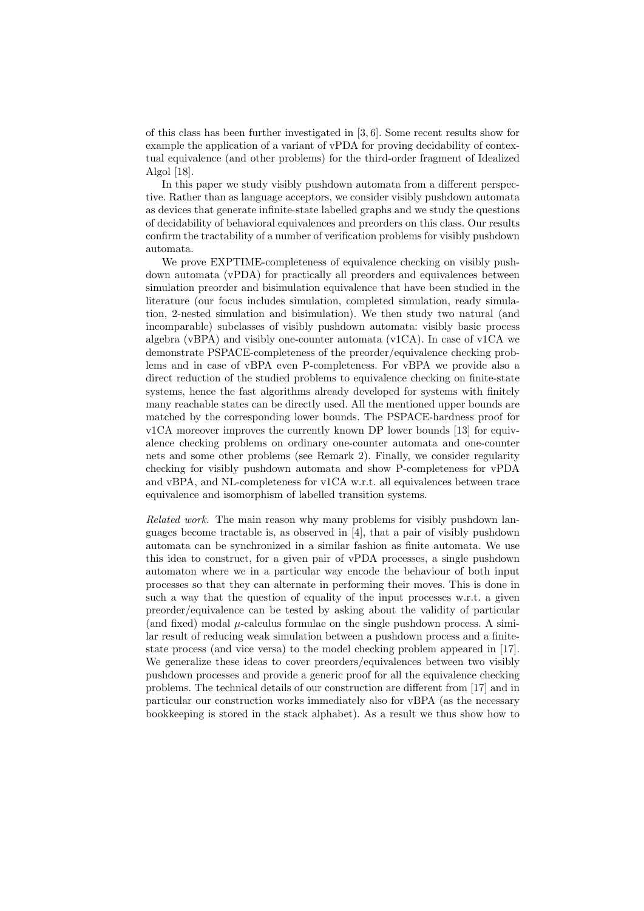of this class has been further investigated in [3, 6]. Some recent results show for example the application of a variant of vPDA for proving decidability of contextual equivalence (and other problems) for the third-order fragment of Idealized Algol [18].

In this paper we study visibly pushdown automata from a different perspective. Rather than as language acceptors, we consider visibly pushdown automata as devices that generate infinite-state labelled graphs and we study the questions of decidability of behavioral equivalences and preorders on this class. Our results confirm the tractability of a number of verification problems for visibly pushdown automata.

We prove EXPTIME-completeness of equivalence checking on visibly pushdown automata (vPDA) for practically all preorders and equivalences between simulation preorder and bisimulation equivalence that have been studied in the literature (our focus includes simulation, completed simulation, ready simulation, 2-nested simulation and bisimulation). We then study two natural (and incomparable) subclasses of visibly pushdown automata: visibly basic process algebra (vBPA) and visibly one-counter automata (v1CA). In case of v1CA we demonstrate PSPACE-completeness of the preorder/equivalence checking problems and in case of vBPA even P-completeness. For vBPA we provide also a direct reduction of the studied problems to equivalence checking on finite-state systems, hence the fast algorithms already developed for systems with finitely many reachable states can be directly used. All the mentioned upper bounds are matched by the corresponding lower bounds. The PSPACE-hardness proof for v1CA moreover improves the currently known DP lower bounds [13] for equivalence checking problems on ordinary one-counter automata and one-counter nets and some other problems (see Remark 2). Finally, we consider regularity checking for visibly pushdown automata and show P-completeness for vPDA and vBPA, and NL-completeness for v1CA w.r.t. all equivalences between trace equivalence and isomorphism of labelled transition systems.

Related work. The main reason why many problems for visibly pushdown languages become tractable is, as observed in [4], that a pair of visibly pushdown automata can be synchronized in a similar fashion as finite automata. We use this idea to construct, for a given pair of vPDA processes, a single pushdown automaton where we in a particular way encode the behaviour of both input processes so that they can alternate in performing their moves. This is done in such a way that the question of equality of the input processes w.r.t. a given preorder/equivalence can be tested by asking about the validity of particular (and fixed) modal  $\mu$ -calculus formulae on the single pushdown process. A similar result of reducing weak simulation between a pushdown process and a finitestate process (and vice versa) to the model checking problem appeared in [17]. We generalize these ideas to cover preorders/equivalences between two visibly pushdown processes and provide a generic proof for all the equivalence checking problems. The technical details of our construction are different from [17] and in particular our construction works immediately also for vBPA (as the necessary bookkeeping is stored in the stack alphabet). As a result we thus show how to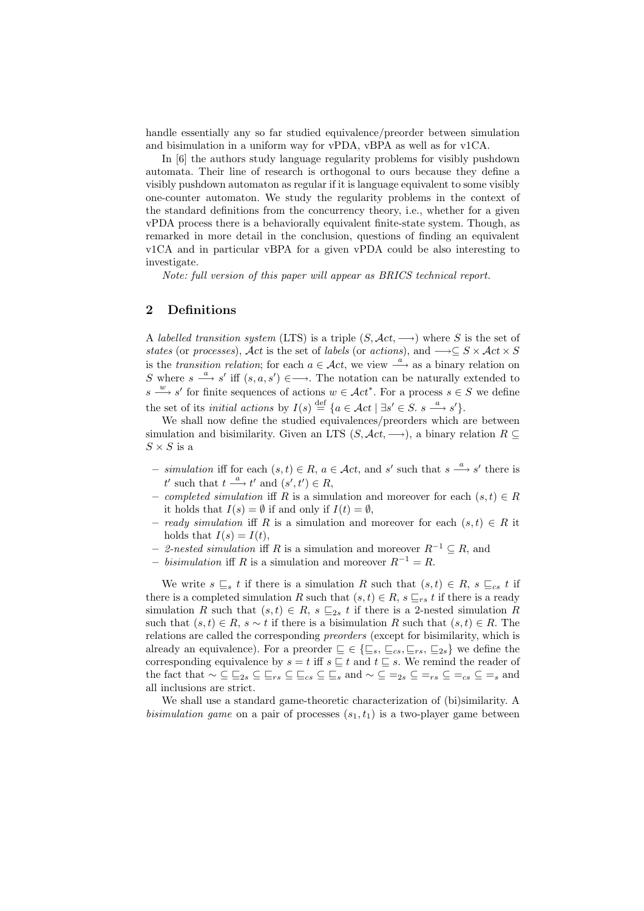handle essentially any so far studied equivalence/preorder between simulation and bisimulation in a uniform way for vPDA, vBPA as well as for v1CA.

In [6] the authors study language regularity problems for visibly pushdown automata. Their line of research is orthogonal to ours because they define a visibly pushdown automaton as regular if it is language equivalent to some visibly one-counter automaton. We study the regularity problems in the context of the standard definitions from the concurrency theory, i.e., whether for a given vPDA process there is a behaviorally equivalent finite-state system. Though, as remarked in more detail in the conclusion, questions of finding an equivalent v1CA and in particular vBPA for a given vPDA could be also interesting to investigate.

Note: full version of this paper will appear as BRICS technical report.

### 2 Definitions

A labelled transition system (LTS) is a triple  $(S, \mathcal{A}ct, \longrightarrow)$  where S is the set of states (or processes), Act is the set of labels (or actions), and  $\longrightarrow \subseteq S \times \mathcal{A}ct \times S$ is the transition relation; for each  $a \in \mathcal{A}ct$ , we view  $\stackrel{a'}{\longrightarrow}$  as a binary relation on S where  $s \stackrel{a}{\longrightarrow} s'$  iff  $(s, a, s') \in \longrightarrow$ . The notation can be naturally extended to  $s \stackrel{w}{\longrightarrow} s'$  for finite sequences of actions  $w \in \mathcal{A}ct^*$ . For a process  $s \in S$  we define the set of its *initial actions* by  $I(s) \stackrel{\text{def}}{=} \{a \in \mathcal{A}ct \mid \exists s' \in S. \ s \stackrel{a}{\longrightarrow} s'\}.$ 

We shall now define the studied equivalences/preorders which are between simulation and bisimilarity. Given an LTS  $(S, \mathcal{A}ct, \longrightarrow)$ , a binary relation  $R \subseteq$  $S \times S$  is a

- simulation iff for each  $(s,t) \in R$ ,  $a \in \mathcal{A}ct$ , and s' such that  $s \stackrel{a}{\longrightarrow} s'$  there is t' such that  $t \stackrel{a}{\longrightarrow} t'$  and  $(s', t') \in R$ ,
- completed simulation iff R is a simulation and moreover for each  $(s, t) \in R$ it holds that  $I(s) = \emptyset$  if and only if  $I(t) = \emptyset$ ,
- ready simulation iff R is a simulation and moreover for each  $(s, t) \in R$  it holds that  $I(s) = I(t)$ ,
- 2-nested simulation iff R is a simulation and moreover  $R^{-1}$  ⊆ R, and
- bisimulation iff R is a simulation and moreover  $R^{-1} = R$ .

We write  $s \subseteq_s t$  if there is a simulation R such that  $(s, t) \in R$ ,  $s \subseteq_{cs} t$  if there is a completed simulation R such that  $(s, t) \in R$ ,  $s \sqsubseteq_{rs} t$  if there is a ready simulation R such that  $(s, t) \in R$ ,  $s \sqsubset_{2s} t$  if there is a 2-nested simulation R such that  $(s, t) \in R$ ,  $s \sim t$  if there is a bisimulation R such that  $(s, t) \in R$ . The relations are called the corresponding preorders (except for bisimilarity, which is already an equivalence). For a preorder  $\subseteq \in \{\subseteq_s, \subseteq_{cs}, \subseteq_{rs}, \subseteq_{2s}\}$  we define the corresponding equivalence by  $s = t$  iff  $s \sqsubseteq t$  and  $t \sqsubseteq s$ . We remind the reader of the fact that  $\sim \subseteq \sqsubseteq_{2s} \subseteq \sqsubseteq_{rs} \subseteq \sqsubseteq_{cs} \subseteq \sqsubseteq_s$  and  $\sim \subseteq =_{2s} \subseteq \sqsubseteq_{rs} \subseteq \sqsubseteq_{cs} \subseteq \sqsubseteq_s$  and all inclusions are strict.

We shall use a standard game-theoretic characterization of (bi)similarity. A bisimulation game on a pair of processes  $(s_1, t_1)$  is a two-player game between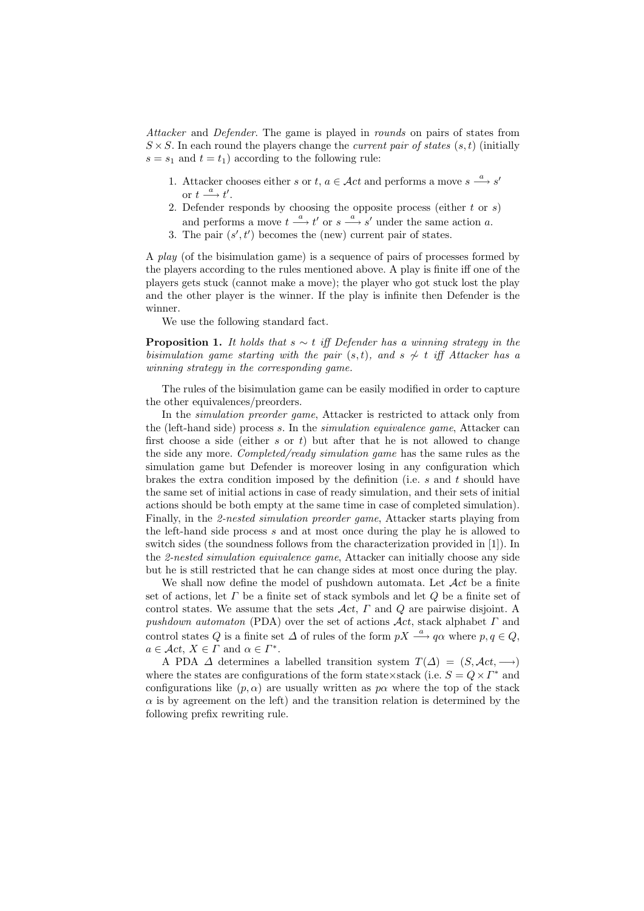Attacker and Defender. The game is played in rounds on pairs of states from  $S \times S$ . In each round the players change the *current pair of states*  $(s, t)$  (initially  $s = s_1$  and  $t = t_1$ ) according to the following rule:

- 1. Attacker chooses either s or t,  $a \in \mathcal{A}ct$  and performs a move  $s \stackrel{a}{\longrightarrow} s'$ or  $t \xrightarrow{a} t'.$
- 2. Defender responds by choosing the opposite process (either  $t$  or  $s$ ) and performs a move  $t \stackrel{a}{\longrightarrow} t'$  or  $s \stackrel{a}{\longrightarrow} s'$  under the same action a.
- 3. The pair  $(s', t')$  becomes the (new) current pair of states.

A play (of the bisimulation game) is a sequence of pairs of processes formed by the players according to the rules mentioned above. A play is finite iff one of the players gets stuck (cannot make a move); the player who got stuck lost the play and the other player is the winner. If the play is infinite then Defender is the winner.

We use the following standard fact.

**Proposition 1.** It holds that  $s \sim t$  iff Defender has a winning strategy in the bisimulation game starting with the pair  $(s, t)$ , and s  $\sim t$  iff Attacker has a winning strategy in the corresponding game.

The rules of the bisimulation game can be easily modified in order to capture the other equivalences/preorders.

In the simulation preorder game, Attacker is restricted to attack only from the (left-hand side) process s. In the simulation equivalence game, Attacker can first choose a side (either s or t) but after that he is not allowed to change the side any more. Completed/ready simulation game has the same rules as the simulation game but Defender is moreover losing in any configuration which brakes the extra condition imposed by the definition (i.e.  $s$  and  $t$  should have the same set of initial actions in case of ready simulation, and their sets of initial actions should be both empty at the same time in case of completed simulation). Finally, in the 2-nested simulation preorder game, Attacker starts playing from the left-hand side process s and at most once during the play he is allowed to switch sides (the soundness follows from the characterization provided in [1]). In the 2-nested simulation equivalence game, Attacker can initially choose any side but he is still restricted that he can change sides at most once during the play.

We shall now define the model of pushdown automata. Let  $\mathcal{A}ct$  be a finite set of actions, let  $\Gamma$  be a finite set of stack symbols and let  $Q$  be a finite set of control states. We assume that the sets  $\mathcal{A}ct$ ,  $\Gamma$  and  $\mathcal Q$  are pairwise disjoint. A pushdown automaton (PDA) over the set of actions  $\mathcal{A}ct$ , stack alphabet  $\Gamma$  and control states Q is a finite set  $\Delta$  of rules of the form  $pX \stackrel{a}{\longrightarrow} q\alpha$  where  $p, q \in Q$ ,  $a \in \mathcal{A}ct, X \in \Gamma$  and  $\alpha \in \Gamma^*$ .

A PDA  $\Delta$  determines a labelled transition system  $T(\Delta) = (S, Act, \rightarrow)$ where the states are configurations of the form state×stack (i.e.  $S = Q \times \Gamma^*$  and configurations like  $(p, \alpha)$  are usually written as  $p\alpha$  where the top of the stack  $\alpha$  is by agreement on the left) and the transition relation is determined by the following prefix rewriting rule.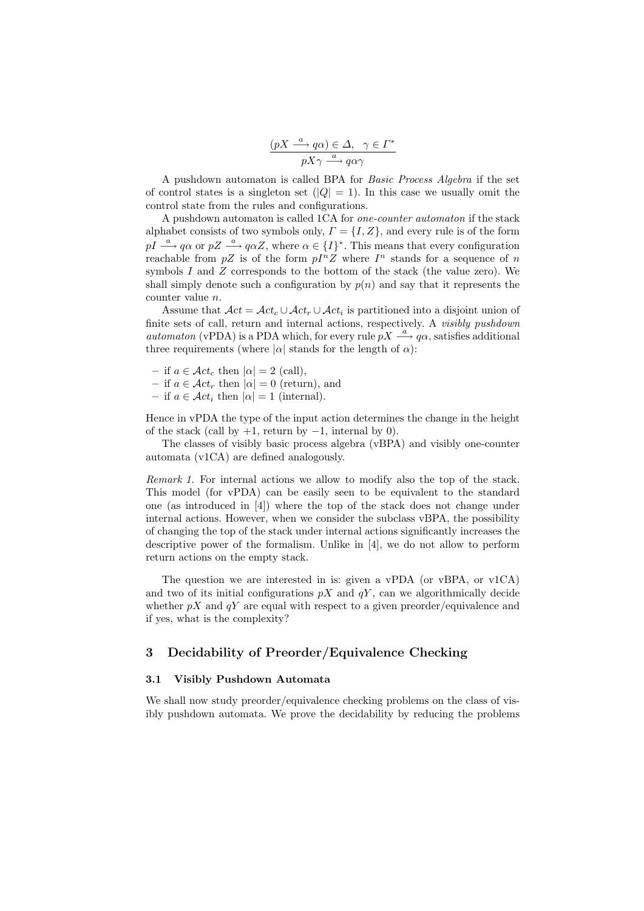$$
\frac{(pX \xrightarrow{a} q\alpha) \in \Delta, \ \gamma \in \Gamma^*}{pX\gamma \xrightarrow{a} q\alpha\gamma}
$$

A pushdown automaton is called BPA for Basic Process Algebra if the set of control states is a singleton set  $(|Q| = 1)$ . In this case we usually omit the control state from the rules and configurations.

A pushdown automaton is called 1CA for one-counter automaton if the stack alphabet consists of two symbols only,  $\Gamma = \{I, Z\}$ , and every rule is of the form  $pI \stackrel{a}{\longrightarrow} q\alpha$  or  $pZ \stackrel{a}{\longrightarrow} q\alpha Z$ , where  $\alpha \in \{I\}^*$ . This means that every configuration reachable from  $pZ$  is of the form  $pI<sup>n</sup>Z$  where  $I<sup>n</sup>$  stands for a sequence of n symbols  $I$  and  $Z$  corresponds to the bottom of the stack (the value zero). We shall simply denote such a configuration by  $p(n)$  and say that it represents the counter value n.

Assume that  $\mathcal{A}ct = \mathcal{A}ct_c \cup \mathcal{A}ct_r \cup \mathcal{A}ct_i$  is partitioned into a disjoint union of finite sets of call, return and internal actions, respectively. A visibly pushdown automaton (vPDA) is a PDA which, for every rule  $pX \stackrel{a}{\longrightarrow} q\alpha$ , satisfies additional three requirements (where  $|\alpha|$  stands for the length of  $\alpha$ ):

- if  $a \in \mathcal{A}ct_c$  then  $|\alpha| = 2$  (call),
- if  $a \in \mathcal{A}ct_r$  then  $|\alpha| = 0$  (return), and
- if  $a \in \mathcal{A}ct_i$  then  $|\alpha|=1$  (internal).

Hence in vPDA the type of the input action determines the change in the height of the stack (call by  $+1$ , return by  $-1$ , internal by 0).

The classes of visibly basic process algebra (vBPA) and visibly one-counter automata (v1CA) are defined analogously.

Remark 1. For internal actions we allow to modify also the top of the stack. This model (for vPDA) can be easily seen to be equivalent to the standard one (as introduced in [4]) where the top of the stack does not change under internal actions. However, when we consider the subclass vBPA, the possibility of changing the top of the stack under internal actions significantly increases the descriptive power of the formalism. Unlike in [4], we do not allow to perform return actions on the empty stack.

The question we are interested in is: given a vPDA (or vBPA, or v1CA) and two of its initial configurations  $pX$  and  $qY$ , can we algorithmically decide whether  $pX$  and  $qY$  are equal with respect to a given preorder/equivalence and if yes, what is the complexity?

## 3 Decidability of Preorder/Equivalence Checking

#### 3.1 Visibly Pushdown Automata

We shall now study preorder/equivalence checking problems on the class of visibly pushdown automata. We prove the decidability by reducing the problems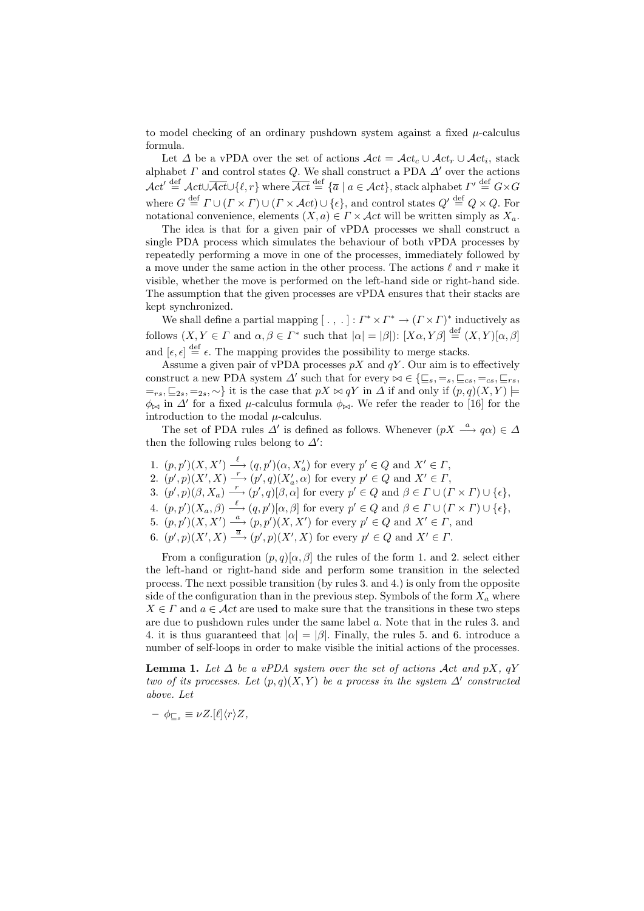to model checking of an ordinary pushdown system against a fixed  $\mu$ -calculus formula.

Let  $\Delta$  be a vPDA over the set of actions  $\mathcal{A}ct = \mathcal{A}ct_c \cup \mathcal{A}ct_r \cup \mathcal{A}ct_i$ , stack alphabet  $\Gamma$  and control states  $Q$ . We shall construct a PDA  $\Delta'$  over the actions  $\mathcal{A}ct' \stackrel{\text{def}}{=} \mathcal{A}ct\cup \overline{\mathcal{A}ct}\cup \{\ell, r\}$  where  $\overline{\mathcal{A}ct} \stackrel{\text{def}}{=} {\overline{a} \mid a \in \mathcal{A}ct\},\text{stack alphabet } \Gamma' \stackrel{\text{def}}{=} G \times G$ where  $G \stackrel{\text{def}}{=} \Gamma \cup (\Gamma \times \Gamma) \cup (\Gamma \times \mathcal{A}ct) \cup \{\epsilon\},\$  and control states  $Q' \stackrel{\text{def}}{=} Q \times Q$ . For notational convenience, elements  $(X, a) \in \Gamma \times \mathcal{A}$ ct will be written simply as  $X_a$ .

The idea is that for a given pair of vPDA processes we shall construct a single PDA process which simulates the behaviour of both vPDA processes by repeatedly performing a move in one of the processes, immediately followed by a move under the same action in the other process. The actions  $\ell$  and r make it visible, whether the move is performed on the left-hand side or right-hand side. The assumption that the given processes are vPDA ensures that their stacks are kept synchronized.

We shall define a partial mapping  $[., .] : \Gamma^* \times \Gamma^* \to (\Gamma \times \Gamma)^*$  inductively as follows  $(X, Y \in \Gamma \text{ and } \alpha, \beta \in \Gamma^* \text{ such that } |\alpha| = |\beta|$ :  $[X\alpha, Y\beta] \stackrel{\text{def}}{=} (X, Y)[\alpha, \beta]$ and  $[\epsilon, \epsilon] \stackrel{\text{def}}{=} \epsilon$ . The mapping provides the possibility to merge stacks.

Assume a given pair of vPDA processes  $pX$  and  $qY$ . Our aim is to effectively construct a new PDA system  $\Delta'$  such that for every  $\bowtie \in \{\subseteq_s, =_s, \sqsubseteq_{cs}, =_{cs}, \sqsubseteq_{rs}, \sqsubseteq_{rs}, \sqsubseteq_{rs}, \sqsubseteq_{rs}, \sqsubseteq_{rs}, \sqsubseteq_{rs}, \sqsubseteq_{rs}, \sqsubseteq_{rs}, \sqsubseteq_{rs}, \sqsubseteq_{rs}, \sqsubseteq_{rs}, \sqsubseteq_{rs} \}$  $=$ <sub>rs</sub>,  $\subseteq$ <sub>2s</sub>,  $=$ <sub>2s</sub>,  $\sim$ } it is the case that  $pX \bowtie qY$  in  $\Delta$  if and only if  $(p, q)(X, Y) \models$  $\phi_{\bowtie}$  in  $\Delta'$  for a fixed  $\mu$ -calculus formula  $\phi_{\bowtie}$ . We refer the reader to [16] for the introduction to the modal  $\mu$ -calculus.

The set of PDA rules  $\Delta'$  is defined as follows. Whenever  $(pX \stackrel{a}{\longrightarrow} q\alpha) \in \Delta$ then the following rules belong to  $\Delta'$ :

- 1.  $(p, p')(X, X') \xrightarrow{\ell} (q, p')(\alpha, X'_a)$  for every  $p' \in Q$  and  $X' \in \Gamma$ ,
- 2.  $(p', p)(X', X) \longrightarrow (p', q)(X'_a, \alpha)$  for every  $p' \in Q$  and  $X' \in \Gamma$ ,
- 3.  $(p', p)(\beta, X_a) \stackrel{r}{\longrightarrow} (p', q)[\beta, \alpha]$  for every  $p' \in Q$  and  $\beta \in \Gamma \cup (\Gamma \times \Gamma) \cup \{\epsilon\},$
- 4.  $(p, p')(X_a, \beta) \stackrel{\ell}{\longrightarrow} (q, p')[\alpha, \beta]$  for every  $p' \in Q$  and  $\beta \in \Gamma \cup (\Gamma \times \Gamma) \cup {\epsilon},$
- 5.  $(p, p')$  $(X, X') \stackrel{a}{\longrightarrow} (p, p')$  $(X, X')$  for every  $p' \in Q$  and  $X' \in \Gamma$ , and
- 6.  $(p', p)(X', X) \stackrel{\overline{a}}{\longrightarrow} (p', p)(X', X)$  for every  $p' \in Q$  and  $X' \in \Gamma$ .

From a configuration  $(p, q)[\alpha, \beta]$  the rules of the form 1. and 2. select either the left-hand or right-hand side and perform some transition in the selected process. The next possible transition (by rules 3. and 4.) is only from the opposite side of the configuration than in the previous step. Symbols of the form  $X_a$  where  $X \in \Gamma$  and  $a \in \mathcal{A}ct$  are used to make sure that the transitions in these two steps are due to pushdown rules under the same label a. Note that in the rules 3. and 4. it is thus guaranteed that  $|\alpha| = |\beta|$ . Finally, the rules 5. and 6. introduce a number of self-loops in order to make visible the initial actions of the processes.

**Lemma 1.** Let  $\Delta$  be a vPDA system over the set of actions Act and pX, qY two of its processes. Let  $(p, q)(X, Y)$  be a process in the system  $\Delta'$  constructed above. Let

 $-\phi_{\square_s} \equiv \nu Z.[\ell]\langle r\rangle Z,$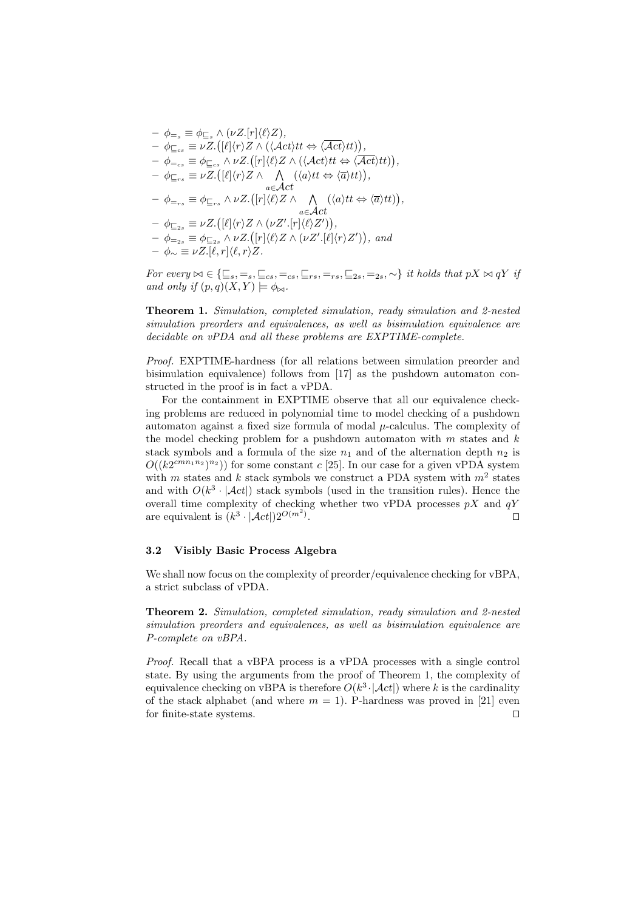$$
\phi_{=s} \equiv \phi_{\sqsubseteq_{s}} \wedge (\nu Z.[r]\langle \ell \rangle Z),
$$
\n
$$
-\phi_{\sqsubseteq_{cs}} \equiv \nu Z.([\ell]\langle r \rangle Z \wedge (\langle \mathcal{A}ct \rangle tt \Leftrightarrow \langle \overline{\mathcal{A}ct} \rangle tt)),
$$
\n
$$
-\phi_{=cs} \equiv \phi_{\sqsubseteq_{cs}} \wedge \nu Z.([\Gamma]\langle \ell \rangle Z \wedge (\langle \mathcal{A}ct \rangle tt \Leftrightarrow \langle \overline{\mathcal{A}ct} \rangle tt)),
$$
\n
$$
-\phi_{\sqsubseteq_{rs}} \equiv \nu Z.([\ell]\langle r \rangle Z \wedge \bigwedge (\langle \mathcal{A}ct \rangle tt \Leftrightarrow \langle \overline{\mathcal{a}} \rangle tt)),
$$
\n
$$
-\phi_{=rs} \equiv \phi_{\sqsubseteq_{rs}} \wedge \nu Z.([\Gamma]\langle \ell \rangle Z \wedge \bigwedge (\langle \mathcal{a} \rangle tt \Leftrightarrow \langle \overline{\mathcal{a}} \rangle tt)),
$$
\n
$$
-\phi_{\sqsubseteq_{2s}} \equiv \nu Z.([\ell]\langle r \rangle Z \wedge (\nu Z'.[\Gamma]\langle \ell \rangle Z'))),
$$
\n
$$
-\phi_{=2s} \equiv \phi_{\sqsubseteq_{2s}} \wedge \nu Z.([\Gamma]\langle \ell \rangle Z \wedge (\nu Z'.[\ell]\langle r \rangle Z'))),
$$
\n
$$
-\phi_{\negeq_{2s}} \equiv \phi_{\sqsubseteq_{2s}} \wedge \nu Z.([\Gamma]\langle \ell \rangle Z \wedge (\nu Z'.[\ell]\langle r \rangle Z'))),
$$
\n
$$
-\phi_{\sim} \equiv \nu Z.[\ell, r]\langle \ell, r \rangle Z.
$$

For every  $\bowtie \in \{\subseteq_s, =_s, \subseteq_{cs}, =_{cs}, \subseteq_{rs}, =_{rs}, \subseteq_{2s}, =_{2s}, \sim\}$  it holds that  $pX \bowtie qY$  if and only if  $(p, q)(X, Y) \models \phi_{\bowtie}.$ 

Theorem 1. Simulation, completed simulation, ready simulation and 2-nested simulation preorders and equivalences, as well as bisimulation equivalence are decidable on vPDA and all these problems are EXPTIME-complete.

Proof. EXPTIME-hardness (for all relations between simulation preorder and bisimulation equivalence) follows from [17] as the pushdown automaton constructed in the proof is in fact a vPDA.

For the containment in EXPTIME observe that all our equivalence checking problems are reduced in polynomial time to model checking of a pushdown automaton against a fixed size formula of modal  $\mu$ -calculus. The complexity of the model checking problem for a pushdown automaton with  $m$  states and  $k$ stack symbols and a formula of the size  $n_1$  and of the alternation depth  $n_2$  is  $O((k2^{cmn_1n_2})^{n_2})$  for some constant c [25]. In our case for a given vPDA system with m states and k stack symbols we construct a PDA system with  $m^2$  states and with  $O(k^3 \cdot |\mathcal{A}ct|)$  stack symbols (used in the transition rules). Hence the overall time complexity of checking whether two vPDA processes  $pX$  and  $qY$ are equivalent is  $(k^3 \cdot | \mathcal{A}ct|)2^{O(m^2)}$ . The contract of the contract of  $\Box$ 

#### 3.2 Visibly Basic Process Algebra

We shall now focus on the complexity of preorder/equivalence checking for vBPA, a strict subclass of vPDA.

Theorem 2. Simulation, completed simulation, ready simulation and 2-nested simulation preorders and equivalences, as well as bisimulation equivalence are P-complete on vBPA.

Proof. Recall that a vBPA process is a vPDA processes with a single control state. By using the arguments from the proof of Theorem 1, the complexity of equivalence checking on vBPA is therefore  $O(k^3 \cdot |\mathcal{A}ct|)$  where k is the cardinality of the stack alphabet (and where  $m = 1$ ). P-hardness was proved in [21] even for finite-state systems.  $\Box$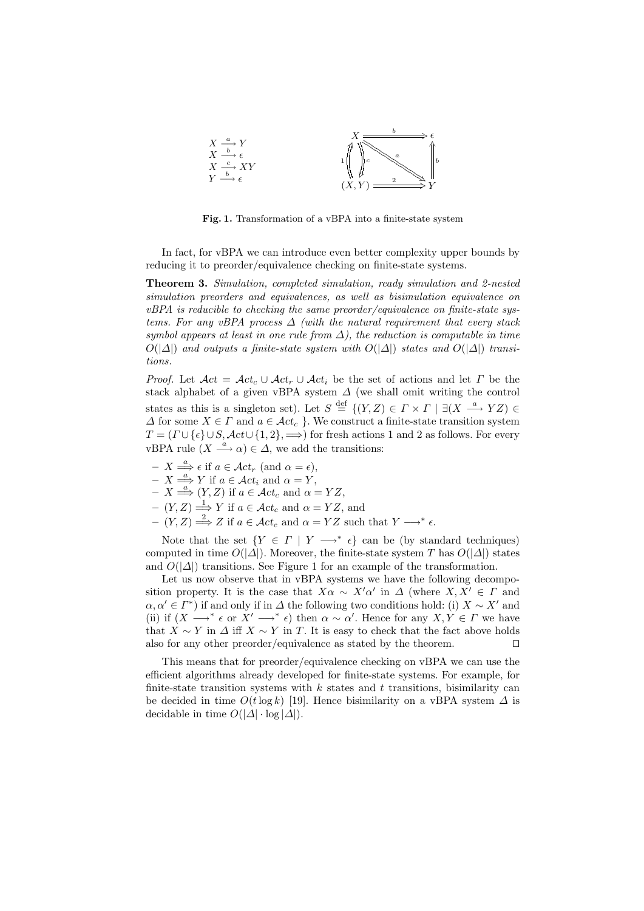

Fig. 1. Transformation of a vBPA into a finite-state system

In fact, for vBPA we can introduce even better complexity upper bounds by reducing it to preorder/equivalence checking on finite-state systems.

Theorem 3. Simulation, completed simulation, ready simulation and 2-nested simulation preorders and equivalences, as well as bisimulation equivalence on vBPA is reducible to checking the same preorder/equivalence on finite-state systems. For any vBPA process  $\Delta$  (with the natural requirement that every stack symbol appears at least in one rule from  $\Delta$ ), the reduction is computable in time  $O(|\Delta|)$  and outputs a finite-state system with  $O(|\Delta|)$  states and  $O(|\Delta|)$  transitions.

*Proof.* Let  $\mathcal{A}ct = \mathcal{A}ct_c \cup \mathcal{A}ct_r \cup \mathcal{A}ct_i$  be the set of actions and let  $\Gamma$  be the stack alphabet of a given vBPA system  $\Delta$  (we shall omit writing the control states as this is a singleton set). Let  $S \stackrel{\text{def}}{=} \{(Y, Z) \in \Gamma \times \Gamma \mid \exists (X \stackrel{a}{\longrightarrow} YZ) \in$  $\Delta$  for some  $X \in \Gamma$  and  $a \in \mathcal{A}ct_c$ . We construct a finite-state transition system  $T = (I \cup \{\epsilon\} \cup S, \mathcal{A}ct \cup \{1,2\}, \Longrightarrow)$  for fresh actions 1 and 2 as follows. For every vBPA rule  $(X \stackrel{a}{\longrightarrow} \alpha) \in \Delta$ , we add the transitions:

- $X \stackrel{a}{\Longrightarrow} \epsilon$  if  $a \in \mathcal{A}ct_r$  (and  $\alpha = \epsilon$ ),
- $X \stackrel{a}{\Longrightarrow} Y$  if  $a \in \mathcal{A}ct_i$  and  $\alpha = Y$ ,
- $X \stackrel{a}{\Longrightarrow} (Y, Z)$  if  $a \in \mathcal{A}ct_c$  and  $\alpha = YZ$ ,
- $(Y, Z) \stackrel{1}{\Longrightarrow} Y$  if  $a \in \mathcal{A}ct_c$  and  $\alpha = YZ$ , and
- $(Y, Z)$  ⇒ Z if  $a \in \mathcal{A}ct_c$  and  $\alpha = YZ$  such that  $Y \longrightarrow^* \epsilon$ .

Note that the set  $\{Y \in \Gamma \mid Y \longrightarrow^* \epsilon\}$  can be (by standard techniques) computed in time  $O(|\Delta|)$ . Moreover, the finite-state system T has  $O(|\Delta|)$  states and  $O(|\Delta|)$  transitions. See Figure 1 for an example of the transformation.

Let us now observe that in vBPA systems we have the following decomposition property. It is the case that  $X\alpha \sim X'\alpha'$  in  $\Delta$  (where  $X, X' \in \Gamma$  and  $\alpha, \alpha' \in \Gamma^*$ ) if and only if in  $\Delta$  the following two conditions hold: (i)  $X \sim X'$  and (ii) if  $(X \longrightarrow^* \epsilon$  or  $X' \longrightarrow^* \epsilon$ ) then  $\alpha \sim \alpha'$ . Hence for any  $X, Y \in \Gamma$  we have that  $X \sim Y$  in  $\Delta$  iff  $X \sim Y$  in T. It is easy to check that the fact above holds also for any other preorder/equivalence as stated by the theorem.  $\Box$ 

This means that for preorder/equivalence checking on vBPA we can use the efficient algorithms already developed for finite-state systems. For example, for finite-state transition systems with  $k$  states and  $t$  transitions, bisimilarity can be decided in time  $O(t \log k)$  [19]. Hence bisimilarity on a vBPA system  $\Delta$  is decidable in time  $O(|\Delta| \cdot \log |\Delta|)$ .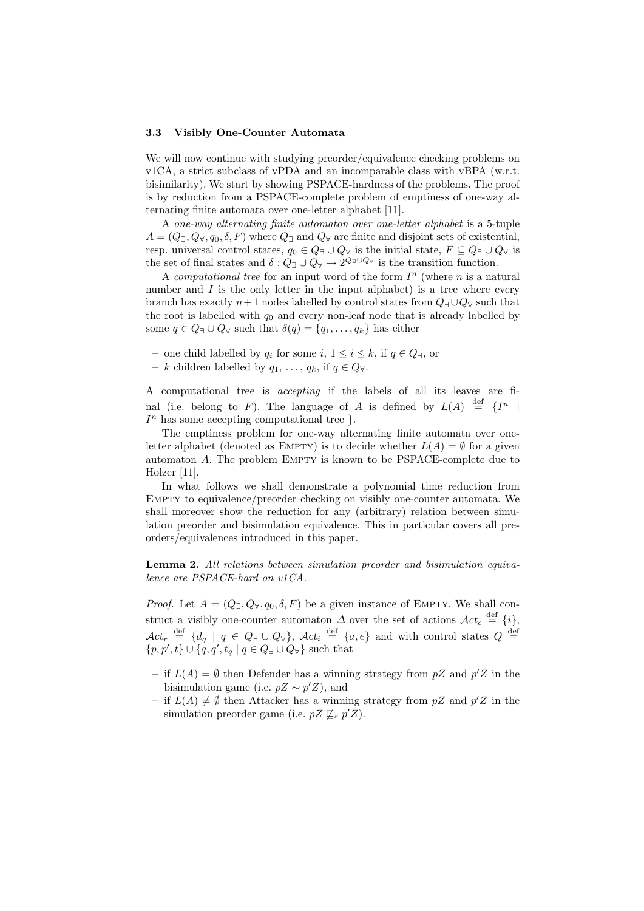#### 3.3 Visibly One-Counter Automata

We will now continue with studying preorder/equivalence checking problems on v1CA, a strict subclass of vPDA and an incomparable class with vBPA (w.r.t. bisimilarity). We start by showing PSPACE-hardness of the problems. The proof is by reduction from a PSPACE-complete problem of emptiness of one-way alternating finite automata over one-letter alphabet [11].

A one-way alternating finite automaton over one-letter alphabet is a 5-tuple  $A = (Q_{\exists}, Q_{\forall}, q_0, \delta, F)$  where  $Q_{\exists}$  and  $Q_{\forall}$  are finite and disjoint sets of existential, resp. universal control states,  $q_0 \in Q_{\exists} \cup Q_{\forall}$  is the initial state,  $F \subseteq Q_{\exists} \cup Q_{\forall}$  is the set of final states and  $\delta: Q_{\exists} \cup Q_{\forall} \to 2^{Q_{\exists} \cup Q_{\forall}}$  is the transition function.

A computational tree for an input word of the form  $I<sup>n</sup>$  (where n is a natural number and  $I$  is the only letter in the input alphabet) is a tree where every branch has exactly  $n+1$  nodes labelled by control states from  $Q_{\exists} \cup Q_{\forall}$  such that the root is labelled with  $q_0$  and every non-leaf node that is already labelled by some  $q \in Q_{\exists} \cup Q_{\forall}$  such that  $\delta(q) = \{q_1, \ldots, q_k\}$  has either

– one child labelled by  $q_i$  for some  $i, 1 \leq i \leq k$ , if  $q \in Q_{\exists}$ , or

– k children labelled by  $q_1, \ldots, q_k$ , if  $q \in Q_{\forall}$ .

A computational tree is accepting if the labels of all its leaves are final (i.e. belong to F). The language of A is defined by  $L(A) \stackrel{\text{def}}{=} \{I^n \mid I \in \mathbb{R}^n : I \in \mathbb{R}^n : I \in \mathbb{R}^n : I \in \mathbb{R}^n : I \in \mathbb{R}^n : I \in \mathbb{R}^n : I \in \mathbb{R}^n : I \in \mathbb{R}^n \}$  $I<sup>n</sup>$  has some accepting computational tree }.

The emptiness problem for one-way alternating finite automata over oneletter alphabet (denoted as EMPTY) is to decide whether  $L(A) = \emptyset$  for a given automaton A. The problem Empty is known to be PSPACE-complete due to Holzer [11].

In what follows we shall demonstrate a polynomial time reduction from Empty to equivalence/preorder checking on visibly one-counter automata. We shall moreover show the reduction for any (arbitrary) relation between simulation preorder and bisimulation equivalence. This in particular covers all preorders/equivalences introduced in this paper.

Lemma 2. All relations between simulation preorder and bisimulation equivalence are PSPACE-hard on v1CA.

*Proof.* Let  $A = (Q_{\exists}, Q_{\forall}, q_0, \delta, F)$  be a given instance of EMPTY. We shall construct a visibly one-counter automaton  $\Delta$  over the set of actions  $\mathcal{A}ct_c \stackrel{\text{def}}{=} \{i\},\$  $\mathcal{A}ct_r \stackrel{\text{def}}{=} \{d_q \mid q \in Q_{\exists} \cup Q_{\forall}\}, \mathcal{A}ct_i \stackrel{\text{def}}{=} \{a, e\}$  and with control states  $Q \stackrel{\text{def}}{=}$  $\{p, p', t\} \cup \{q, q', t_q \mid q \in Q_{\exists} \cup Q_{\forall}\}\$  such that

- if  $L(A) = \emptyset$  then Defender has a winning strategy from  $pZ$  and  $p'Z$  in the bisimulation game (i.e.  $pZ \sim p'Z$ ), and
- if  $L(A) \neq \emptyset$  then Attacker has a winning strategy from pZ and p'Z in the simulation preorder game (i.e.  $pZ \not\subseteq_s p'Z$ ).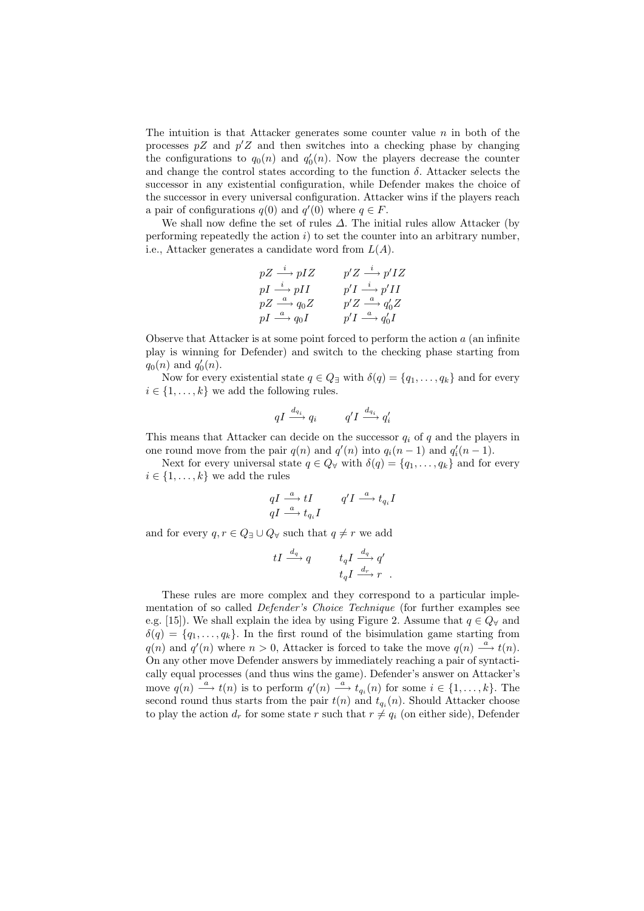The intuition is that Attacker generates some counter value  $n$  in both of the processes  $pZ$  and  $p'Z$  and then switches into a checking phase by changing the configurations to  $q_0(n)$  and  $q'_0(n)$ . Now the players decrease the counter and change the control states according to the function  $\delta$ . Attacker selects the successor in any existential configuration, while Defender makes the choice of the successor in every universal configuration. Attacker wins if the players reach a pair of configurations  $q(0)$  and  $q'(0)$  where  $q \in F$ .

We shall now define the set of rules  $\Delta$ . The initial rules allow Attacker (by performing repeatedly the action  $i$ ) to set the counter into an arbitrary number, i.e., Attacker generates a candidate word from  $L(A)$ .

| $pZ \stackrel{i}{\longrightarrow} pIZ$  | $p'Z \stackrel{i}{\longrightarrow} p'IZ$  |
|-----------------------------------------|-------------------------------------------|
| $pI \stackrel{i}{\longrightarrow} pII$  | $p'I \stackrel{i}{\longrightarrow} p'II$  |
| $pZ \stackrel{a}{\longrightarrow} q_0Z$ | $p'Z \stackrel{a}{\longrightarrow} q'_0Z$ |
| $pI \stackrel{a}{\longrightarrow} q_0I$ | $p'I \stackrel{a}{\longrightarrow} q'_0I$ |

Observe that Attacker is at some point forced to perform the action  $a$  (an infinite play is winning for Defender) and switch to the checking phase starting from  $q_0(n)$  and  $q'_0(n)$ .

Now for every existential state  $q \in Q_{\exists}$  with  $\delta(q) = \{q_1, \ldots, q_k\}$  and for every  $i \in \{1, \ldots, k\}$  we add the following rules.

$$
qI \xrightarrow{d_{q_i}} q_i \qquad q'I \xrightarrow{d_{q_i}} q_i'
$$

This means that Attacker can decide on the successor  $q_i$  of q and the players in one round move from the pair  $q(n)$  and  $q'(n)$  into  $q_i(n-1)$  and  $q'_i(n-1)$ .

Next for every universal state  $q \in Q_{\forall}$  with  $\delta(q) = \{q_1, \ldots, q_k\}$  and for every  $i \in \{1, \ldots, k\}$  we add the rules

$$
\begin{array}{lll}\n qI & \xrightarrow{a} & tI & q'I & \xrightarrow{a} & t_{q_i}I \\
qI & \xrightarrow{a} & t_{q_i}I\n \end{array}
$$

and for every  $q, r \in Q_{\exists} \cup Q_{\forall}$  such that  $q \neq r$  we add

$$
tI \xrightarrow{d_q} q \qquad t_q I \xrightarrow{d_q} q'
$$

$$
t_q I \xrightarrow{d_r} r.
$$

These rules are more complex and they correspond to a particular implementation of so called Defender's Choice Technique (for further examples see e.g. [15]). We shall explain the idea by using Figure 2. Assume that  $q \in Q_{\forall}$  and  $\delta(q) = \{q_1, \ldots, q_k\}.$  In the first round of the bisimulation game starting from  $q(n)$  and  $q'(n)$  where  $n > 0$ , Attacker is forced to take the move  $q(n) \stackrel{a}{\longrightarrow} t(n)$ . On any other move Defender answers by immediately reaching a pair of syntactically equal processes (and thus wins the game). Defender's answer on Attacker's move  $q(n) \stackrel{a}{\longrightarrow} t(n)$  is to perform  $q'(n) \stackrel{a}{\longrightarrow} t_{q_i}(n)$  for some  $i \in \{1, \ldots, k\}$ . The second round thus starts from the pair  $t(n)$  and  $t_{q_i}(n)$ . Should Attacker choose to play the action  $d_r$  for some state r such that  $r \neq q_i$  (on either side), Defender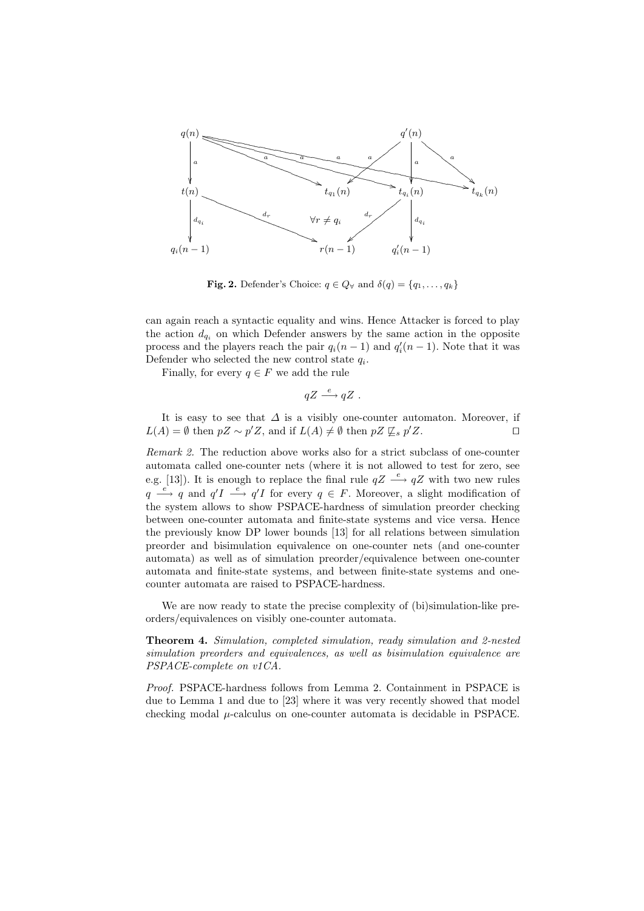

**Fig. 2.** Defender's Choice:  $q \in Q_{\forall}$  and  $\delta(q) = \{q_1, \ldots, q_k\}$ 

can again reach a syntactic equality and wins. Hence Attacker is forced to play the action  $d_{q_i}$  on which Defender answers by the same action in the opposite process and the players reach the pair  $q_i(n-1)$  and  $q'_i(n-1)$ . Note that it was Defender who selected the new control state  $q_i$ .

Finally, for every  $q \in F$  we add the rule

 $qZ \stackrel{e}{\longrightarrow} qZ$ .

It is easy to see that  $\Delta$  is a visibly one-counter automaton. Moreover, if  $L(A) = \emptyset$  then  $pZ \sim p'Z$ , and if  $L(A) \neq \emptyset$  then  $pZ \not\subseteq_s p'Z$ .

Remark 2. The reduction above works also for a strict subclass of one-counter automata called one-counter nets (where it is not allowed to test for zero, see e.g. [13]). It is enough to replace the final rule  $qZ \stackrel{e}{\longrightarrow} qZ$  with two new rules  $q \stackrel{e}{\longrightarrow} q$  and  $q'I \stackrel{e}{\longrightarrow} q'I$  for every  $q \in F$ . Moreover, a slight modification of the system allows to show PSPACE-hardness of simulation preorder checking between one-counter automata and finite-state systems and vice versa. Hence the previously know DP lower bounds [13] for all relations between simulation preorder and bisimulation equivalence on one-counter nets (and one-counter automata) as well as of simulation preorder/equivalence between one-counter automata and finite-state systems, and between finite-state systems and onecounter automata are raised to PSPACE-hardness.

We are now ready to state the precise complexity of (bi)simulation-like preorders/equivalences on visibly one-counter automata.

Theorem 4. Simulation, completed simulation, ready simulation and 2-nested simulation preorders and equivalences, as well as bisimulation equivalence are PSPACE-complete on v1CA.

Proof. PSPACE-hardness follows from Lemma 2. Containment in PSPACE is due to Lemma 1 and due to [23] where it was very recently showed that model checking modal  $\mu$ -calculus on one-counter automata is decidable in PSPACE.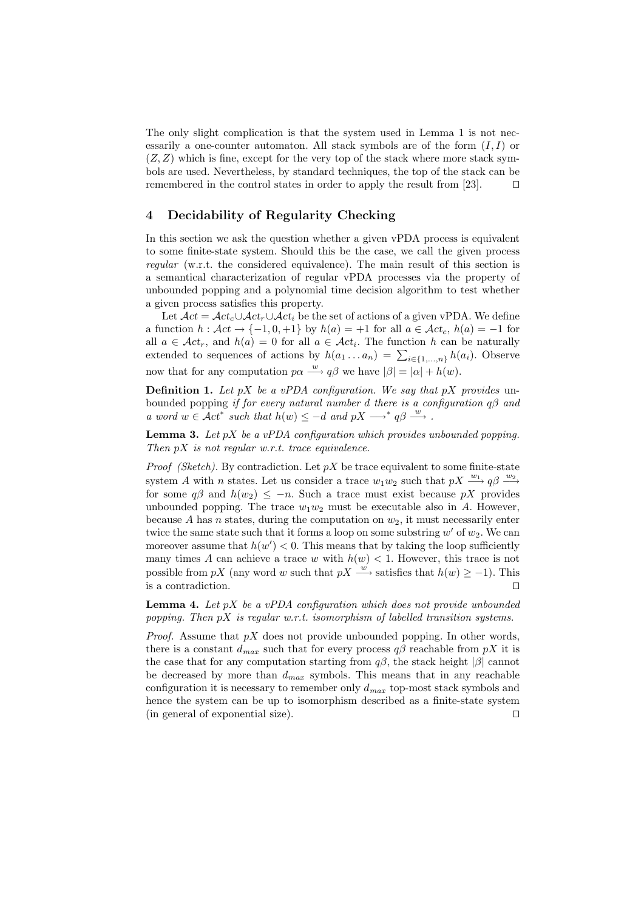The only slight complication is that the system used in Lemma 1 is not necessarily a one-counter automaton. All stack symbols are of the form  $(I, I)$  or  $(Z, Z)$  which is fine, except for the very top of the stack where more stack symbols are used. Nevertheless, by standard techniques, the top of the stack can be remembered in the control states in order to apply the result from [23].  $\Box$ 

## 4 Decidability of Regularity Checking

In this section we ask the question whether a given vPDA process is equivalent to some finite-state system. Should this be the case, we call the given process regular (w.r.t. the considered equivalence). The main result of this section is a semantical characterization of regular vPDA processes via the property of unbounded popping and a polynomial time decision algorithm to test whether a given process satisfies this property.

Let  $\mathcal{A}ct = \mathcal{A}ct_c\cup \mathcal{A}ct_r\cup \mathcal{A}ct_i$  be the set of actions of a given vPDA. We define a function  $h : \mathcal{A}ct \to \{-1, 0, +1\}$  by  $h(a) = +1$  for all  $a \in \mathcal{A}ct_c$ ,  $h(a) = -1$  for all  $a \in \mathcal{A}ct_r$ , and  $h(a) = 0$  for all  $a \in \mathcal{A}ct_i$ . The function h can be naturally extended to sequences of actions by  $h(a_1 \ldots a_n) = \sum_{i \in \{1, \ldots, n\}} h(a_i)$ . Observe now that for any computation  $p\alpha \stackrel{w}{\longrightarrow} q\beta$  we have  $|\beta| = |\alpha| + h(w)$ .

**Definition 1.** Let  $pX$  be a vPDA configuration. We say that  $pX$  provides unbounded popping if for every natural number d there is a configuration  $q\beta$  and a word  $w \in \mathcal{A}ct^*$  such that  $h(w) \leq -d$  and  $pX \longrightarrow^* q\beta \stackrel{w}{\longrightarrow}$ .

**Lemma 3.** Let  $pX$  be a vPDA configuration which provides unbounded popping. Then  $pX$  is not regular w.r.t. trace equivalence.

*Proof (Sketch)*. By contradiction. Let  $pX$  be trace equivalent to some finite-state system A with n states. Let us consider a trace  $w_1w_2$  such that  $pX \stackrel{w_1}{\longrightarrow} q\beta \stackrel{w_2}{\longrightarrow}$ for some  $q\beta$  and  $h(w_2) \leq -n$ . Such a trace must exist because pX provides unbounded popping. The trace  $w_1w_2$  must be executable also in A. However, because A has n states, during the computation on  $w_2$ , it must necessarily enter twice the same state such that it forms a loop on some substring  $w'$  of  $w_2$ . We can moreover assume that  $h(w') < 0$ . This means that by taking the loop sufficiently many times A can achieve a trace w with  $h(w) < 1$ . However, this trace is not possible from pX (any word w such that  $pX \stackrel{w}{\longrightarrow}$  satisfies that  $h(w) \ge -1$ ). This is a contradiction.  $\Box$ 

**Lemma 4.** Let  $pX$  be a vPDA configuration which does not provide unbounded popping. Then  $pX$  is regular w.r.t. isomorphism of labelled transition systems.

*Proof.* Assume that  $pX$  does not provide unbounded popping. In other words, there is a constant  $d_{max}$  such that for every process  $q\beta$  reachable from  $pX$  it is the case that for any computation starting from  $q\beta$ , the stack height  $|\beta|$  cannot be decreased by more than  $d_{max}$  symbols. This means that in any reachable configuration it is necessary to remember only  $d_{max}$  top-most stack symbols and hence the system can be up to isomorphism described as a finite-state system (in general of exponential size).  $\Box$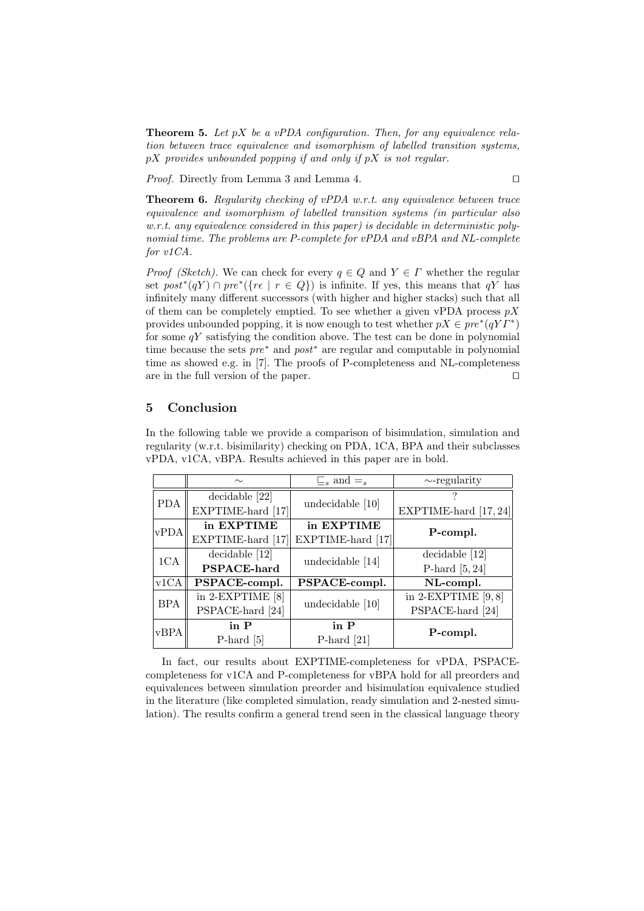**Theorem 5.** Let  $pX$  be a vPDA configuration. Then, for any equivalence relation between trace equivalence and isomorphism of labelled transition systems,  $pX$  provides unbounded popping if and only if  $pX$  is not regular.

*Proof.* Directly from Lemma 3 and Lemma 4.  $\Box$ 

**Theorem 6.** Regularity checking of  $vPDA$  w.r.t. any equivalence between trace equivalence and isomorphism of labelled transition systems (in particular also w.r.t. any equivalence considered in this paper) is decidable in deterministic polynomial time. The problems are P-complete for vPDA and vBPA and NL-complete for v1CA.

*Proof (Sketch)*. We can check for every  $q \in Q$  and  $Y \in \Gamma$  whether the regular set  $post^*(qY) \cap pre^*(\{r \in \mathbb{R}\})$  is infinite. If yes, this means that  $qY$  has infinitely many different successors (with higher and higher stacks) such that all of them can be completely emptied. To see whether a given vPDA process  $pX$ provides unbounded popping, it is now enough to test whether  $pX \in pre^*(qYT^*)$ for some  $qY$  satisfying the condition above. The test can be done in polynomial time because the sets pre<sup>∗</sup> and post<sup>∗</sup> are regular and computable in polynomial time as showed e.g. in [7]. The proofs of P-completeness and NL-completeness are in the full version of the paper.  $\Box$ 

## 5 Conclusion

|                 | $\sim$             | $\sqsubseteq_s$ and $\sqsubseteq_s$ | $\sim$ -regularity    |
|-----------------|--------------------|-------------------------------------|-----------------------|
| <b>PDA</b>      | decidable [22]     | undecidable [10]                    | ?                     |
|                 | EXPTIME-hard [17]  |                                     | EXPTIME-hard [17, 24] |
| vPDA            | in EXPTIME         | in EXPTIME                          | P-compl.              |
|                 | EXPTIME-hard [17]  | EXPTIME-hard [17]                   |                       |
| 1 <sub>CA</sub> | decidable [12]     | undecidable [14]                    | decidable [12]        |
|                 | <b>PSPACE-hard</b> |                                     | P-hard $[5, 24]$      |
| v1CA            | PSPACE-compl.      | PSPACE-compl.                       | NL-compl.             |
| <b>BPA</b>      | in 2-EXPTIME [8]   | undecidable [10]                    | in 2-EXPTIME $[9, 8]$ |
|                 | PSPACE-hard [24]   |                                     | PSPACE-hard [24]      |
| vBPA            | in P               | in P                                | P-compl.              |
|                 | $P$ -hard [5]      | P-hard $[21]$                       |                       |

In the following table we provide a comparison of bisimulation, simulation and regularity (w.r.t. bisimilarity) checking on PDA, 1CA, BPA and their subclasses vPDA, v1CA, vBPA. Results achieved in this paper are in bold.

In fact, our results about EXPTIME-completeness for vPDA, PSPACEcompleteness for v1CA and P-completeness for vBPA hold for all preorders and equivalences between simulation preorder and bisimulation equivalence studied in the literature (like completed simulation, ready simulation and 2-nested simulation). The results confirm a general trend seen in the classical language theory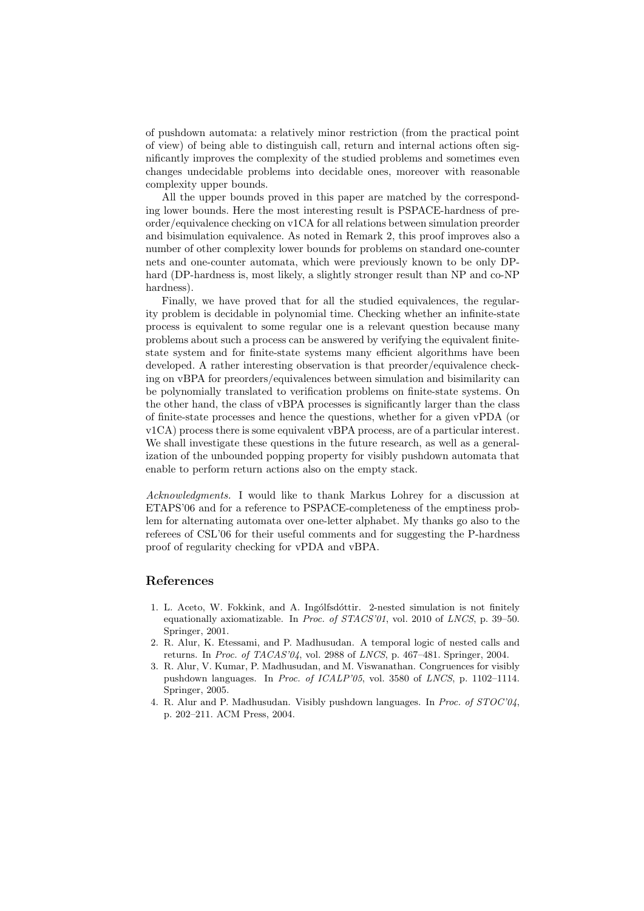of pushdown automata: a relatively minor restriction (from the practical point of view) of being able to distinguish call, return and internal actions often significantly improves the complexity of the studied problems and sometimes even changes undecidable problems into decidable ones, moreover with reasonable complexity upper bounds.

All the upper bounds proved in this paper are matched by the corresponding lower bounds. Here the most interesting result is PSPACE-hardness of preorder/equivalence checking on v1CA for all relations between simulation preorder and bisimulation equivalence. As noted in Remark 2, this proof improves also a number of other complexity lower bounds for problems on standard one-counter nets and one-counter automata, which were previously known to be only DPhard (DP-hardness is, most likely, a slightly stronger result than NP and co-NP hardness).

Finally, we have proved that for all the studied equivalences, the regularity problem is decidable in polynomial time. Checking whether an infinite-state process is equivalent to some regular one is a relevant question because many problems about such a process can be answered by verifying the equivalent finitestate system and for finite-state systems many efficient algorithms have been developed. A rather interesting observation is that preorder/equivalence checking on vBPA for preorders/equivalences between simulation and bisimilarity can be polynomially translated to verification problems on finite-state systems. On the other hand, the class of vBPA processes is significantly larger than the class of finite-state processes and hence the questions, whether for a given vPDA (or v1CA) process there is some equivalent vBPA process, are of a particular interest. We shall investigate these questions in the future research, as well as a generalization of the unbounded popping property for visibly pushdown automata that enable to perform return actions also on the empty stack.

Acknowledgments. I would like to thank Markus Lohrey for a discussion at ETAPS'06 and for a reference to PSPACE-completeness of the emptiness problem for alternating automata over one-letter alphabet. My thanks go also to the referees of CSL'06 for their useful comments and for suggesting the P-hardness proof of regularity checking for vPDA and vBPA.

#### References

- 1. L. Aceto, W. Fokkink, and A. Ingólfsdóttir. 2-nested simulation is not finitely equationally axiomatizable. In Proc. of STACS'01, vol. 2010 of LNCS, p. 39–50. Springer, 2001.
- 2. R. Alur, K. Etessami, and P. Madhusudan. A temporal logic of nested calls and returns. In Proc. of TACAS'04, vol. 2988 of LNCS, p. 467–481. Springer, 2004.
- 3. R. Alur, V. Kumar, P. Madhusudan, and M. Viswanathan. Congruences for visibly pushdown languages. In Proc. of ICALP'05, vol. 3580 of LNCS, p. 1102–1114. Springer, 2005.
- 4. R. Alur and P. Madhusudan. Visibly pushdown languages. In Proc. of STOC'04, p. 202–211. ACM Press, 2004.